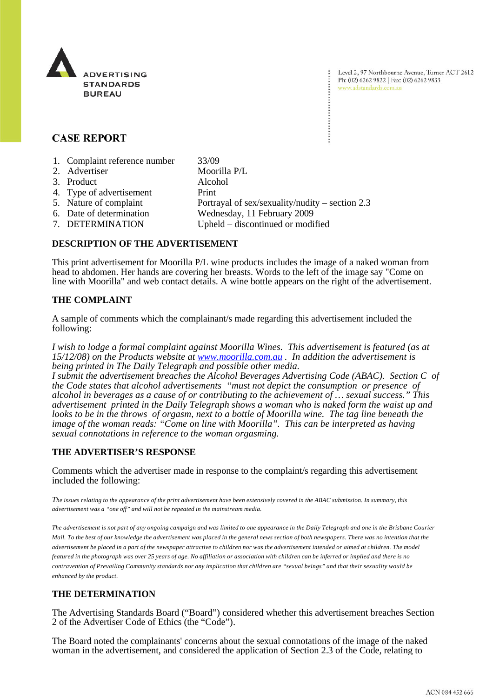

Level 2, 97 Northbourne Avenue, Turner ACT 2612 Ph: (02) 6262 9822 | Fax: (02) 6262 9833 www.adstandards.com.au

# **CASE REPORT**

| 1. Complaint reference number | 33/09                                             |
|-------------------------------|---------------------------------------------------|
| 2. Advertiser                 | Moorilla P/L                                      |
| 3. Product                    | Alcohol                                           |
| 4. Type of advertisement      | Print                                             |
| 5. Nature of complaint        | Portrayal of sex/sexuality/nudity – section $2.3$ |
| 6. Date of determination      | Wednesday, 11 February 2009                       |
| 7. DETERMINATION              | Upheld – discontinued or modified                 |
|                               |                                                   |

## **DESCRIPTION OF THE ADVERTISEMENT**

This print advertisement for Moorilla P/L wine products includes the image of a naked woman from head to abdomen. Her hands are covering her breasts. Words to the left of the image say "Come on line with Moorilla" and web contact details. A wine bottle appears on the right of the advertisement.

### **THE COMPLAINT**

A sample of comments which the complainant/s made regarding this advertisement included the following:

*I wish to lodge a formal complaint against Moorilla Wines. This advertisement is featured (as at 15/12/08) on the Products website at www.moorilla.com.au . In addition the advertisement is being printed in The Daily Telegraph and possible other media.*

*I submit the advertisement breaches the Alcohol Beverages Advertising Code (ABAC). Section C of the Code states that alcohol advertisements "must not depict the consumption or presence of alcohol in beverages as a cause of or contributing to the achievement of … sexual success." This advertisement printed in the Daily Telegraph shows a woman who is naked form the waist up and looks to be in the throws of orgasm, next to a bottle of Moorilla wine. The tag line beneath the image of the woman reads: "Come on line with Moorilla". This can be interpreted as having sexual connotations in reference to the woman orgasming.*

## **THE ADVERTISER'S RESPONSE**

Comments which the advertiser made in response to the complaint/s regarding this advertisement included the following:

*The issues relating to the appearance of the print advertisement have been extensively covered in the ABAC submission. In summary, this advertisement was a "one off" and will not be repeated in the mainstream media.*

*The advertisement is not part of any ongoing campaign and was limited to one appearance in the Daily Telegraph and one in the Brisbane Courier Mail. To the best of our knowledge the advertisement was placed in the general news section of both newspapers. There was no intention that the advertisement be placed in a part of the newspaper attractive to children nor was the advertisement intended or aimed at children. The model featured in the photograph was over 25 years of age. No affiliation or association with children can be inferred or implied and there is no contravention of Prevailing Community standards nor any implication that children are "sexual beings" and that their sexuality would be enhanced by the product.*

## **THE DETERMINATION**

The Advertising Standards Board ("Board") considered whether this advertisement breaches Section 2 of the Advertiser Code of Ethics (the "Code").

The Board noted the complainants' concerns about the sexual connotations of the image of the naked woman in the advertisement, and considered the application of Section 2.3 of the Code, relating to